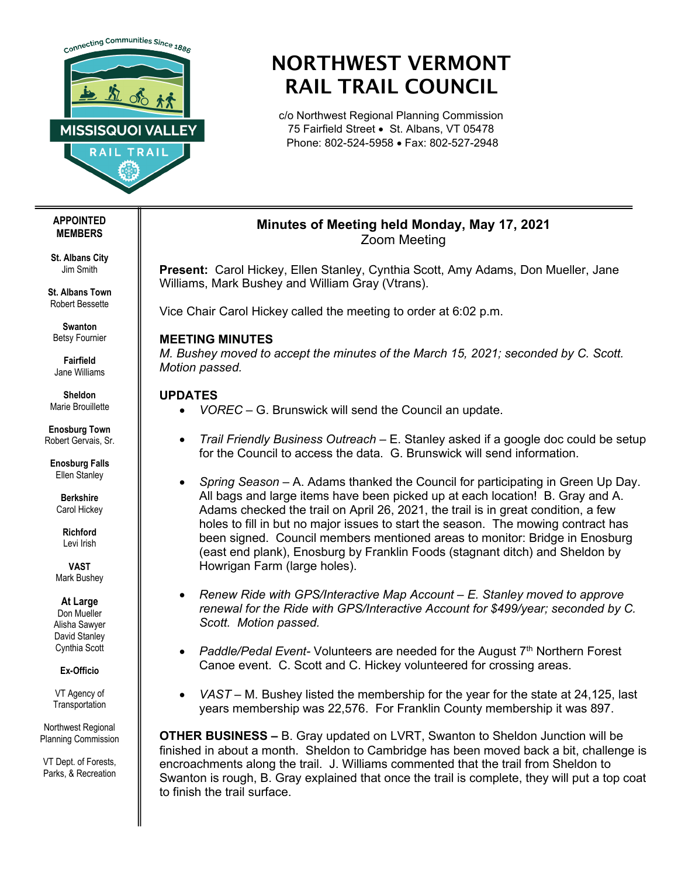

# NORTHWEST VERMONT RAIL TRAIL COUNCIL

c/o Northwest Regional Planning Commission 75 Fairfield Street • St. Albans, VT 05478 Phone: 802-524-5958 • Fax: 802-527-2948

## **Minutes of Meeting held Monday, May 17, 2021** Zoom Meeting

**Present:** Carol Hickey, Ellen Stanley, Cynthia Scott, Amy Adams, Don Mueller, Jane Williams, Mark Bushey and William Gray (Vtrans).

Vice Chair Carol Hickey called the meeting to order at 6:02 p.m.

### **MEETING MINUTES**

*M. Bushey moved to accept the minutes of the March 15, 2021; seconded by C. Scott. Motion passed.* 

## **UPDATES**

- *VOREC –* G. Brunswick will send the Council an update.
- *Trail Friendly Business Outreach –* E. Stanley asked if a google doc could be setup for the Council to access the data. G. Brunswick will send information.
- *Spring Season –* A. Adams thanked the Council for participating in Green Up Day. All bags and large items have been picked up at each location! B. Gray and A. Adams checked the trail on April 26, 2021, the trail is in great condition, a few holes to fill in but no major issues to start the season. The mowing contract has been signed. Council members mentioned areas to monitor: Bridge in Enosburg (east end plank), Enosburg by Franklin Foods (stagnant ditch) and Sheldon by Howrigan Farm (large holes).
- *Renew Ride with GPS/Interactive Map Account – E. Stanley moved to approve renewal for the Ride with GPS/Interactive Account for \$499/year; seconded by C. Scott. Motion passed.*
- *Paddle/Pedal Event-Volunteers are needed for the August 7<sup>th</sup> Northern Forest* Canoe event. C. Scott and C. Hickey volunteered for crossing areas.
- *VAST –* M. Bushey listed the membership for the year for the state at 24,125, last years membership was 22,576. For Franklin County membership it was 897.

**OTHER BUSINESS –** B. Gray updated on LVRT, Swanton to Sheldon Junction will be finished in about a month. Sheldon to Cambridge has been moved back a bit, challenge is encroachments along the trail. J. Williams commented that the trail from Sheldon to Swanton is rough, B. Gray explained that once the trail is complete, they will put a top coat to finish the trail surface.

#### **APPOINTED MEMBERS**

**St. Albans City** Jim Smith

**St. Albans Town** Robert Bessette

**Swanton** Betsy Fournier

**Fairfield** Jane Williams

**Sheldon** Marie Brouillette

**Enosburg Town** Robert Gervais, Sr.

**Enosburg Falls** Ellen Stanley

**Berkshire** Carol Hickey

**Richford** Levi Irish

**VAST** Mark Bushey

**At Large**

Don Mueller Alisha Sawyer David Stanley Cynthia Scott

**Ex-Officio**

VT Agency of **Transportation** 

Northwest Regional Planning Commission

VT Dept. of Forests, Parks, & Recreation